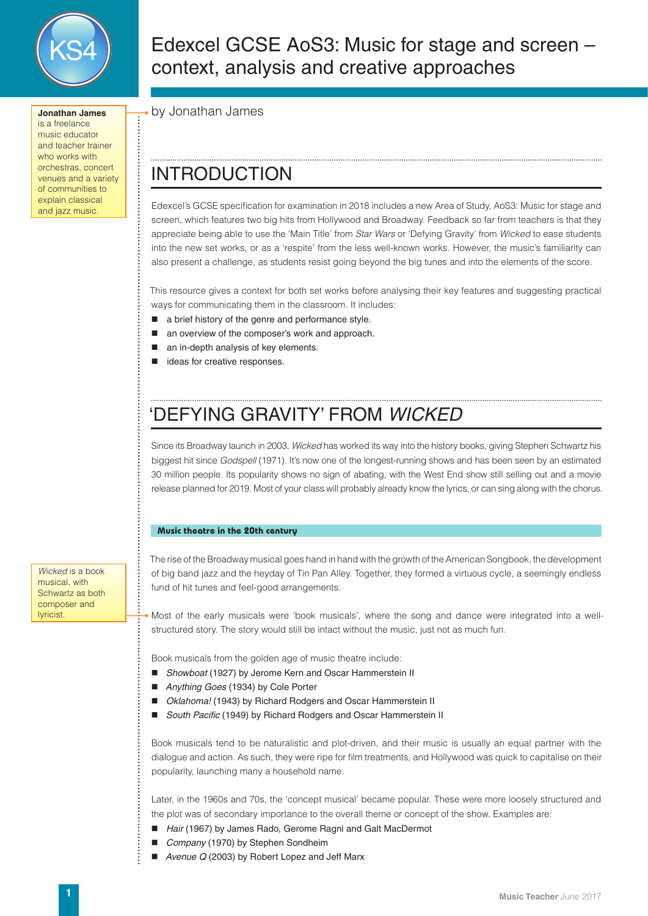

**Jonathan James** is a freelance music educator and teacher trainer who works with orchestras, concert venues and a variety of communities to explain classical and jazz music.

Edexcel GCSE AoS3: Music for stage and screen – context, analysis and creative approaches

by Jonathan James

## INTRODUCTION

Edexcel's GCSE specification for examination in 2018 includes a new Area of Study, AoS3: Music for stage and screen, which features two big hits from Hollywood and Broadway. Feedback so far from teachers is that they appreciate being able to use the 'Main Title' from *Star Wars* or 'Defying Gravity' from *Wicked* to ease students into the new set works, or as a 'respite' from the less well-known works. However, the music's familiarity can also present a challenge, as students resist going beyond the big tunes and into the elements of the score.

This resource gives a context for both set works before analysing their key features and suggesting practical ways for communicating them in the classroom. It includes:

- a brief history of the genre and performance style.
- an overview of the composer's work and approach.
- an in-depth analysis of key elements.
- ideas for creative responses.

# 'DEFYING GRAVITY' FROM *WICKED*

Since its Broadway launch in 2003, *Wicked* has worked its way into the history books, giving Stephen Schwartz his biggest hit since *Godspell* (1971). It's now one of the longest-running shows and has been seen by an estimated 30 million people. Its popularity shows no sign of abating, with the West End show still selling out and a movie release planned for 2019. Most of your class will probably already know the lyrics, or can sing along with the chorus.

### **Music theatre in the 20th century**

The rise of the Broadway musical goes hand in hand with the growth of the American Songbook, the development of big band jazz and the heyday of Tin Pan Alley. Together, they formed a virtuous cycle, a seemingly endless fund of hit tunes and feel-good arrangements.

Most of the early musicals were 'book musicals', where the song and dance were integrated into a wellstructured story. The story would still be intact without the music, just not as much fun.

Book musicals from the golden age of music theatre include:

- *Showboat* (1927) by Jerome Kern and Oscar Hammerstein II
- *Anything Goes* (1934) by Cole Porter
- *Oklahoma!* (1943) by Richard Rodgers and Oscar Hammerstein II
- *South Pacific* (1949) by Richard Rodgers and Oscar Hammerstein II

Book musicals tend to be naturalistic and plot-driven, and their music is usually an equal partner with the dialogue and action. As such, they were ripe for film treatments, and Hollywood was quick to capitalise on their popularity, launching many a household name.

Later, in the 1960s and 70s, the 'concept musical' became popular. These were more loosely structured and the plot was of secondary importance to the overall theme or concept of the show. Examples are:

- Hair (1967) by James Rado, Gerome Ragni and Galt MacDermot
- *Company* (1970) by Stephen Sondheim
- *Avenue Q* (2003) by Robert Lopez and Jeff Marx

*Wicked* is a book musical, with Schwartz as both composer and **lyricist**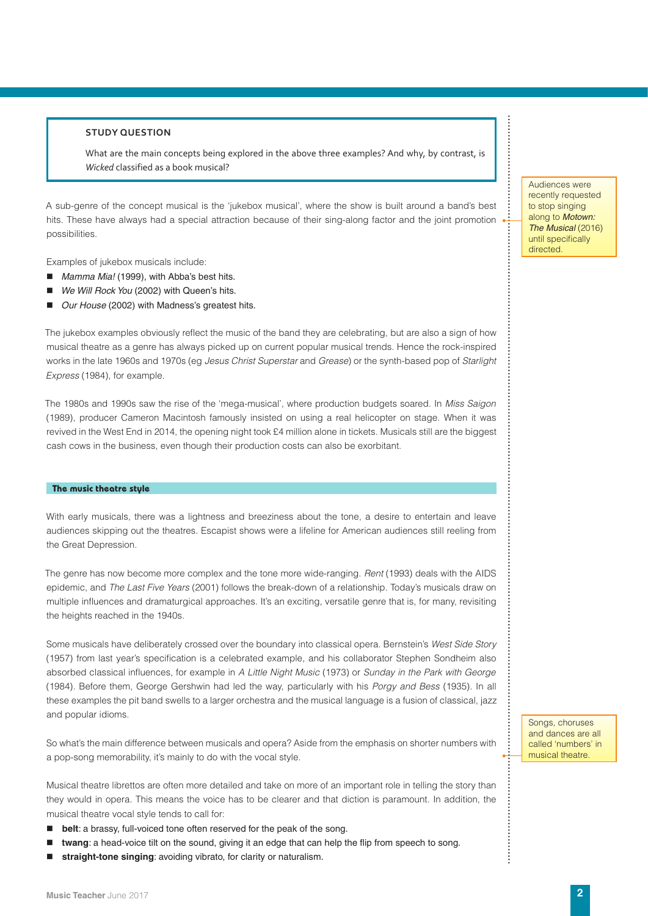#### **STUDY QUESTION**

What are the main concepts being explored in the above three examples? And why, by contrast, is *Wicked* classified as a book musical?

A sub-genre of the concept musical is the 'jukebox musical', where the show is built around a band's best hits. These have always had a special attraction because of their sing-along factor and the joint promotion possibilities.

Examples of jukebox musicals include:

- *Mamma Mia!* (1999), with Abba's best hits.
- We Will Rock You (2002) with Queen's hits.
- *Our House* (2002) with Madness's greatest hits.

The jukebox examples obviously reflect the music of the band they are celebrating, but are also a sign of how musical theatre as a genre has always picked up on current popular musical trends. Hence the rock-inspired works in the late 1960s and 1970s (eg *Jesus Christ Superstar* and *Grease*) or the synth-based pop of *Starlight Express* (1984), for example.

The 1980s and 1990s saw the rise of the 'mega-musical', where production budgets soared. In *Miss Saigon*  (1989), producer Cameron Macintosh famously insisted on using a real helicopter on stage. When it was revived in the West End in 2014, the opening night took £4 million alone in tickets. Musicals still are the biggest cash cows in the business, even though their production costs can also be exorbitant.

#### **The music theatre style**

With early musicals, there was a lightness and breeziness about the tone, a desire to entertain and leave audiences skipping out the theatres. Escapist shows were a lifeline for American audiences still reeling from the Great Depression.

The genre has now become more complex and the tone more wide-ranging. *Rent* (1993) deals with the AIDS epidemic, and *The Last Five Years* (2001) follows the break-down of a relationship. Today's musicals draw on multiple influences and dramaturgical approaches. It's an exciting, versatile genre that is, for many, revisiting the heights reached in the 1940s.

Some musicals have deliberately crossed over the boundary into classical opera. Bernstein's *West Side Story*  (1957) from last year's specification is a celebrated example, and his collaborator Stephen Sondheim also absorbed classical influences, for example in *A Little Night Music* (1973) or *Sunday in the Park with George* (1984). Before them, George Gershwin had led the way, particularly with his *Porgy and Bess* (1935). In all these examples the pit band swells to a larger orchestra and the musical language is a fusion of classical, jazz and popular idioms.

So what's the main difference between musicals and opera? Aside from the emphasis on shorter numbers with a pop-song memorability, it's mainly to do with the vocal style.

Musical theatre librettos are often more detailed and take on more of an important role in telling the story than they would in opera. This means the voice has to be clearer and that diction is paramount. In addition, the musical theatre vocal style tends to call for:

- **belt**: a brassy, full-voiced tone often reserved for the peak of the song.
- **twang**: a head-voice tilt on the sound, giving it an edge that can help the flip from speech to song.
- **straight-tone singing**: avoiding vibrato, for clarity or naturalism.

Audiences were recently requested to stop singing along to *Motown:*  **The Musical (2016)** until specifically directed.

Songs, choruses and dances are all called 'numbers' in musical theatre.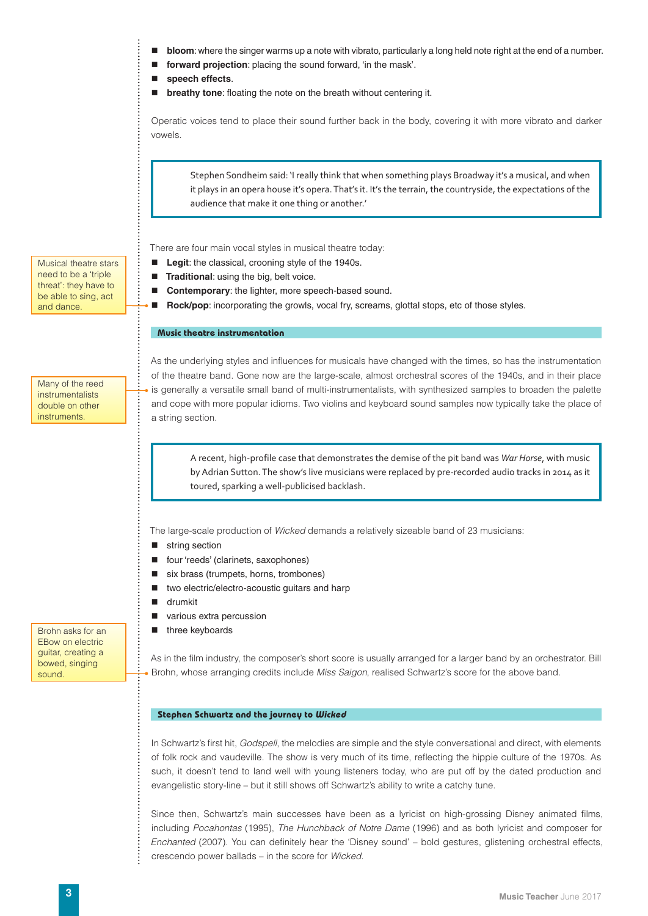- **bloom**: where the singer warms up a note with vibrato, particularly a long held note right at the end of a number.
- **forward projection**: placing the sound forward, 'in the mask'.
- **speech effects**.
- $\blacksquare$  breathy tone: floating the note on the breath without centering it.

Operatic voices tend to place their sound further back in the body, covering it with more vibrato and darker vowels.

Stephen Sondheim said: 'I really think that when something plays Broadway it's a musical, and when it plays in an opera house it's opera. That's it. It's the terrain, the countryside, the expectations of the audience that make it one thing or another.'

There are four main vocal styles in musical theatre today:

- **Legit:** the classical, crooning style of the 1940s.
- **Traditional:** using the big, belt voice.
- **Contemporary:** the lighter, more speech-based sound.
- **Rock/pop**: incorporating the growls, vocal fry, screams, glottal stops, etc of those styles.

#### **Music theatre instrumentation**

Many of the reed instrumentalists double on other instruments.

Musical theatre stars need to be a 'triple threat': they have to be able to sing, act and dance.

> As the underlying styles and influences for musicals have changed with the times, so has the instrumentation of the theatre band. Gone now are the large-scale, almost orchestral scores of the 1940s, and in their place is generally a versatile small band of multi-instrumentalists, with synthesized samples to broaden the palette and cope with more popular idioms. Two violins and keyboard sound samples now typically take the place of a string section.

A recent, high-profile case that demonstrates the demise of the pit band was *War Horse*, with music by Adrian Sutton. The show's live musicians were replaced by pre-recorded audio tracks in 2014 as it toured, sparking a well-publicised backlash.

The large-scale production of *Wicked* demands a relatively sizeable band of 23 musicians:

- string section
- four 'reeds' (clarinets, saxophones)
- six brass (trumpets, horns, trombones)
- two electric/electro-acoustic guitars and harp
- drumkit
- various extra percussion
- $\blacksquare$  three keyboards

As in the film industry, the composer's short score is usually arranged for a larger band by an orchestrator. Bill Brohn, whose arranging credits include *Miss Saigon*, realised Schwartz's score for the above band.

#### **Stephen Schwartz and the journey to Wicked**

In Schwartz's first hit, *Godspell*, the melodies are simple and the style conversational and direct, with elements of folk rock and vaudeville. The show is very much of its time, reflecting the hippie culture of the 1970s. As such, it doesn't tend to land well with young listeners today, who are put off by the dated production and evangelistic story-line – but it still shows off Schwartz's ability to write a catchy tune.

Since then, Schwartz's main successes have been as a lyricist on high-grossing Disney animated films, including *Pocahontas* (1995), *The Hunchback of Notre Dame* (1996) and as both lyricist and composer for *Enchanted* (2007). You can definitely hear the 'Disney sound' – bold gestures, glistening orchestral effects, crescendo power ballads – in the score for *Wicked*.

Brohn asks for an EBow on electric guitar, creating a bowed, singing sound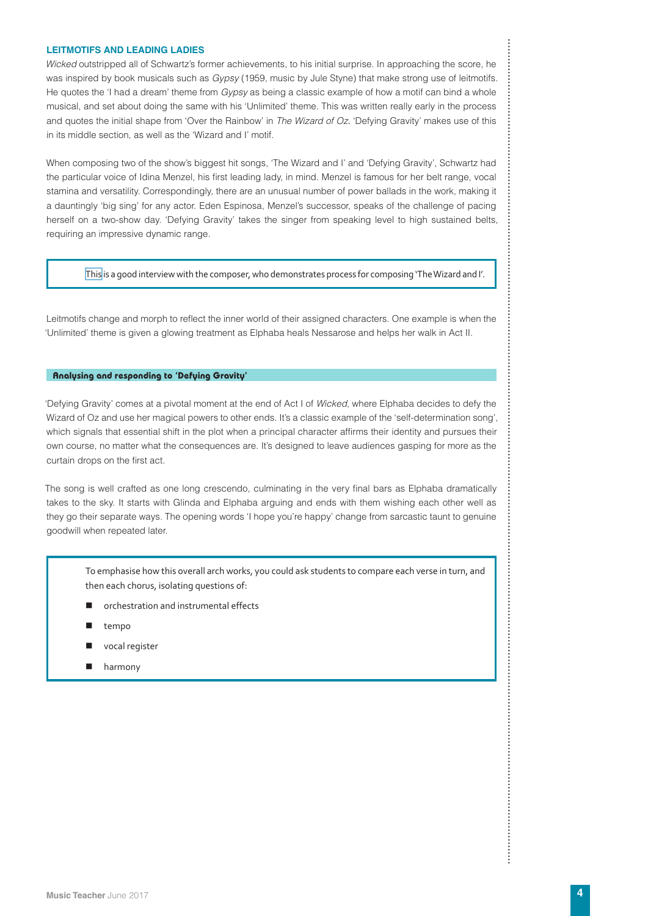#### **LEITMOTIFS AND LEADING LADIES**

*Wicked* outstripped all of Schwartz's former achievements, to his initial surprise. In approaching the score, he was inspired by book musicals such as *Gypsy* (1959, music by Jule Styne) that make strong use of leitmotifs. He quotes the 'I had a dream' theme from *Gypsy* as being a classic example of how a motif can bind a whole musical, and set about doing the same with his 'Unlimited' theme. This was written really early in the process and quotes the initial shape from 'Over the Rainbow' in *The Wizard of Oz.* 'Defying Gravity' makes use of this in its middle section, as well as the 'Wizard and I' motif.

When composing two of the show's biggest hit songs, 'The Wizard and I' and 'Defying Gravity', Schwartz had the particular voice of Idina Menzel, his first leading lady, in mind. Menzel is famous for her belt range, vocal stamina and versatility. Correspondingly, there are an unusual number of power ballads in the work, making it a dauntingly 'big sing' for any actor. Eden Espinosa, Menzel's successor, speaks of the challenge of pacing herself on a two-show day. 'Defying Gravity' takes the singer from speaking level to high sustained belts, requiring an impressive dynamic range.

[This](https://www.youtube.com/watch?v=7ls478MwuGc&t=481s) is a good interview with the composer, who demonstrates process for composing 'The Wizard and I'.

Leitmotifs change and morph to reflect the inner world of their assigned characters. One example is when the 'Unlimited' theme is given a glowing treatment as Elphaba heals Nessarose and helps her walk in Act II.

#### **Analysing and responding to 'Defying Gravity'**

'Defying Gravity' comes at a pivotal moment at the end of Act I of *Wicked*, where Elphaba decides to defy the Wizard of Oz and use her magical powers to other ends. It's a classic example of the 'self-determination song', which signals that essential shift in the plot when a principal character affirms their identity and pursues their own course, no matter what the consequences are. It's designed to leave audiences gasping for more as the curtain drops on the first act.

The song is well crafted as one long crescendo, culminating in the very final bars as Elphaba dramatically takes to the sky. It starts with Glinda and Elphaba arguing and ends with them wishing each other well as they go their separate ways. The opening words 'I hope you're happy' change from sarcastic taunt to genuine goodwill when repeated later.

To emphasise how this overall arch works, you could ask students to compare each verse in turn, and then each chorus, isolating questions of:

- orchestration and instrumental effects
- tempo
- vocal register
- **harmony**

 $\vdots$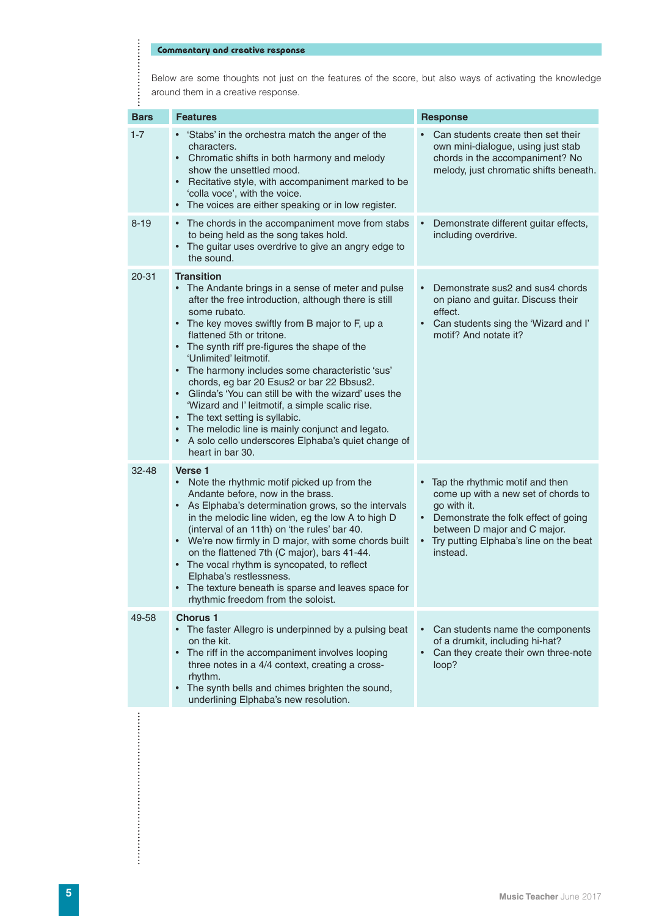## **Commentary and creative response**

**.................** 

Below are some thoughts not just on the features of the score, but also ways of activating the knowledge around them in a creative response.

| <b>Bars</b> | <b>Features</b>                                                                                                                                                                                                                                                                                                                                                                                                                                                                                                                                                                                                                                                                                                           | <b>Response</b>                                                                                                                                                                                                                                 |  |
|-------------|---------------------------------------------------------------------------------------------------------------------------------------------------------------------------------------------------------------------------------------------------------------------------------------------------------------------------------------------------------------------------------------------------------------------------------------------------------------------------------------------------------------------------------------------------------------------------------------------------------------------------------------------------------------------------------------------------------------------------|-------------------------------------------------------------------------------------------------------------------------------------------------------------------------------------------------------------------------------------------------|--|
| $1 - 7$     | 'Stabs' in the orchestra match the anger of the<br>characters.<br>Chromatic shifts in both harmony and melody<br>$\bullet$<br>show the unsettled mood.<br>Recitative style, with accompaniment marked to be<br>$\bullet$<br>'colla voce', with the voice.<br>The voices are either speaking or in low register.<br>$\bullet$                                                                                                                                                                                                                                                                                                                                                                                              | Can students create then set their<br>own mini-dialogue, using just stab<br>chords in the accompaniment? No<br>melody, just chromatic shifts beneath.                                                                                           |  |
| $8 - 19$    | The chords in the accompaniment move from stabs<br>$\bullet$<br>to being held as the song takes hold.<br>The guitar uses overdrive to give an angry edge to<br>$\bullet$<br>the sound.                                                                                                                                                                                                                                                                                                                                                                                                                                                                                                                                    | Demonstrate different guitar effects,<br>including overdrive.                                                                                                                                                                                   |  |
| $20 - 31$   | <b>Transition</b><br>The Andante brings in a sense of meter and pulse<br>after the free introduction, although there is still<br>some rubato.<br>• The key moves swiftly from B major to F, up a<br>flattened 5th or tritone.<br>• The synth riff pre-figures the shape of the<br>'Unlimited' leitmotif.<br>• The harmony includes some characteristic 'sus'<br>chords, eg bar 20 Esus2 or bar 22 Bbsus2.<br>Glinda's 'You can still be with the wizard' uses the<br>$\bullet$<br>'Wizard and I' leitmotif, a simple scalic rise.<br>The text setting is syllabic.<br>$\bullet$<br>The melodic line is mainly conjunct and legato.<br>$\bullet$<br>A solo cello underscores Elphaba's quiet change of<br>heart in bar 30. | Demonstrate sus2 and sus4 chords<br>$\bullet$<br>on piano and guitar. Discuss their<br>effect.<br>Can students sing the 'Wizard and I'<br>motif? And notate it?                                                                                 |  |
| $32 - 48$   | Verse 1<br>Note the rhythmic motif picked up from the<br>Andante before, now in the brass.<br>As Elphaba's determination grows, so the intervals<br>$\bullet$<br>in the melodic line widen, eg the low A to high D<br>(interval of an 11th) on 'the rules' bar 40.<br>• We're now firmly in D major, with some chords built<br>on the flattened 7th (C major), bars 41-44.<br>The vocal rhythm is syncopated, to reflect<br>$\bullet$<br>Elphaba's restlessness.<br>The texture beneath is sparse and leaves space for<br>$\bullet$<br>rhythmic freedom from the soloist.                                                                                                                                                 | Tap the rhythmic motif and then<br>$\bullet$<br>come up with a new set of chords to<br>go with it.<br>• Demonstrate the folk effect of going<br>between D major and C major.<br>Try putting Elphaba's line on the beat<br>$\bullet$<br>instead. |  |
| 49-58       | <b>Chorus 1</b><br>The faster Allegro is underpinned by a pulsing beat<br>on the kit.<br>The riff in the accompaniment involves looping<br>$\bullet$<br>three notes in a 4/4 context, creating a cross-<br>rhythm.<br>The synth bells and chimes brighten the sound,<br>$\bullet$<br>underlining Elphaba's new resolution.                                                                                                                                                                                                                                                                                                                                                                                                | Can students name the components<br>$\bullet$<br>of a drumkit, including hi-hat?<br>Can they create their own three-note<br>$\bullet$<br>loop?                                                                                                  |  |
|             |                                                                                                                                                                                                                                                                                                                                                                                                                                                                                                                                                                                                                                                                                                                           |                                                                                                                                                                                                                                                 |  |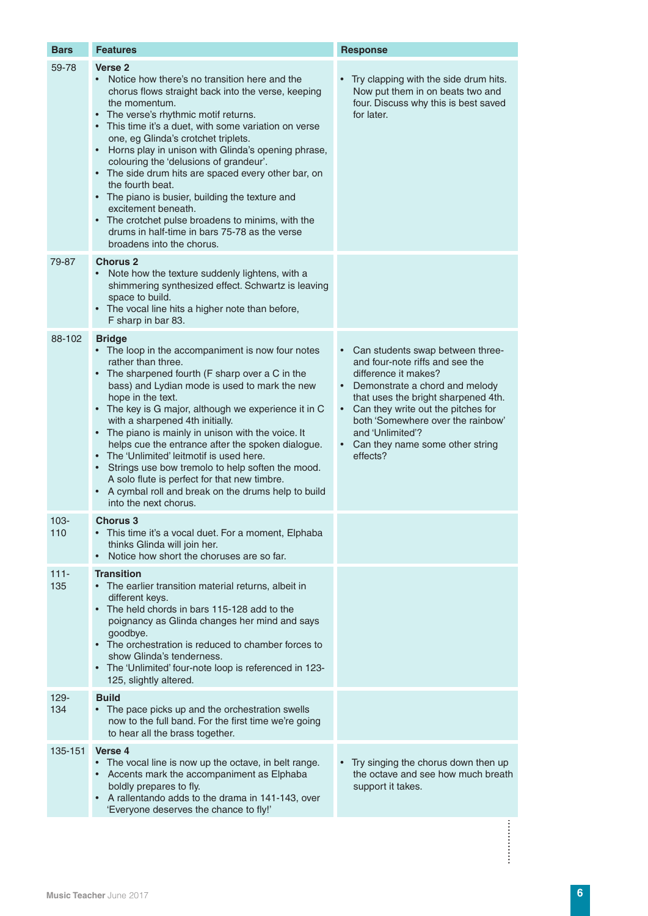| <b>Bars</b>    | <b>Features</b>                                                                                                                                                                                                                                                                                                                                                                                                                                                                                                                                                                                                                                                                                                                                 | <b>Response</b>                                                                                                                                                                                                                                                                                                      |
|----------------|-------------------------------------------------------------------------------------------------------------------------------------------------------------------------------------------------------------------------------------------------------------------------------------------------------------------------------------------------------------------------------------------------------------------------------------------------------------------------------------------------------------------------------------------------------------------------------------------------------------------------------------------------------------------------------------------------------------------------------------------------|----------------------------------------------------------------------------------------------------------------------------------------------------------------------------------------------------------------------------------------------------------------------------------------------------------------------|
| 59-78          | Verse <sub>2</sub><br>Notice how there's no transition here and the<br>$\bullet$<br>chorus flows straight back into the verse, keeping<br>the momentum.<br>The verse's rhythmic motif returns.<br>This time it's a duet, with some variation on verse<br>$\bullet$<br>one, eg Glinda's crotchet triplets.<br>Horns play in unison with Glinda's opening phrase,<br>$\bullet$<br>colouring the 'delusions of grandeur'.<br>The side drum hits are spaced every other bar, on<br>$\bullet$<br>the fourth beat.<br>The piano is busier, building the texture and<br>$\bullet$<br>excitement beneath.<br>The crotchet pulse broadens to minims, with the<br>$\bullet$<br>drums in half-time in bars 75-78 as the verse<br>broadens into the chorus. | Try clapping with the side drum hits.<br>Now put them in on beats two and<br>four. Discuss why this is best saved<br>for later.                                                                                                                                                                                      |
| 79-87          | <b>Chorus 2</b><br>Note how the texture suddenly lightens, with a<br>shimmering synthesized effect. Schwartz is leaving<br>space to build.<br>• The vocal line hits a higher note than before,<br>F sharp in bar 83.                                                                                                                                                                                                                                                                                                                                                                                                                                                                                                                            |                                                                                                                                                                                                                                                                                                                      |
| 88-102         | <b>Bridge</b><br>• The loop in the accompaniment is now four notes<br>rather than three.<br>• The sharpened fourth (F sharp over a C in the<br>bass) and Lydian mode is used to mark the new<br>hope in the text.<br>• The key is G major, although we experience it in C<br>with a sharpened 4th initially.<br>The piano is mainly in unison with the voice. It<br>$\bullet$<br>helps cue the entrance after the spoken dialogue.<br>The 'Unlimited' leitmotif is used here.<br>$\bullet$<br>Strings use bow tremolo to help soften the mood.<br>A solo flute is perfect for that new timbre.<br>A cymbal roll and break on the drums help to build<br>$\bullet$<br>into the next chorus.                                                      | • Can students swap between three-<br>and four-note riffs and see the<br>difference it makes?<br>Demonstrate a chord and melody<br>that uses the bright sharpened 4th.<br>Can they write out the pitches for<br>both 'Somewhere over the rainbow'<br>and 'Unlimited'?<br>Can they name some other string<br>effects? |
| $103 -$<br>110 | <b>Chorus 3</b><br>This time it's a vocal duet. For a moment, Elphaba<br>thinks Glinda will join her.<br>Notice how short the choruses are so far.<br>$\bullet$                                                                                                                                                                                                                                                                                                                                                                                                                                                                                                                                                                                 |                                                                                                                                                                                                                                                                                                                      |
| $111 -$<br>135 | <b>Transition</b><br>The earlier transition material returns, albeit in<br>$\bullet$<br>different keys.<br>The held chords in bars 115-128 add to the<br>$\bullet$<br>poignancy as Glinda changes her mind and says<br>goodbye.<br>The orchestration is reduced to chamber forces to<br>$\bullet$<br>show Glinda's tenderness.<br>The 'Unlimited' four-note loop is referenced in 123-<br>125, slightly altered.                                                                                                                                                                                                                                                                                                                                |                                                                                                                                                                                                                                                                                                                      |
| 129-<br>134    | <b>Build</b><br>The pace picks up and the orchestration swells<br>now to the full band. For the first time we're going<br>to hear all the brass together.                                                                                                                                                                                                                                                                                                                                                                                                                                                                                                                                                                                       |                                                                                                                                                                                                                                                                                                                      |
| 135-151        | Verse 4<br>The vocal line is now up the octave, in belt range.<br>Accents mark the accompaniment as Elphaba<br>boldly prepares to fly.<br>A rallentando adds to the drama in 141-143, over<br>$\bullet$<br>'Everyone deserves the chance to fly!'                                                                                                                                                                                                                                                                                                                                                                                                                                                                                               | Try singing the chorus down then up<br>the octave and see how much breath<br>support it takes.                                                                                                                                                                                                                       |
|                |                                                                                                                                                                                                                                                                                                                                                                                                                                                                                                                                                                                                                                                                                                                                                 |                                                                                                                                                                                                                                                                                                                      |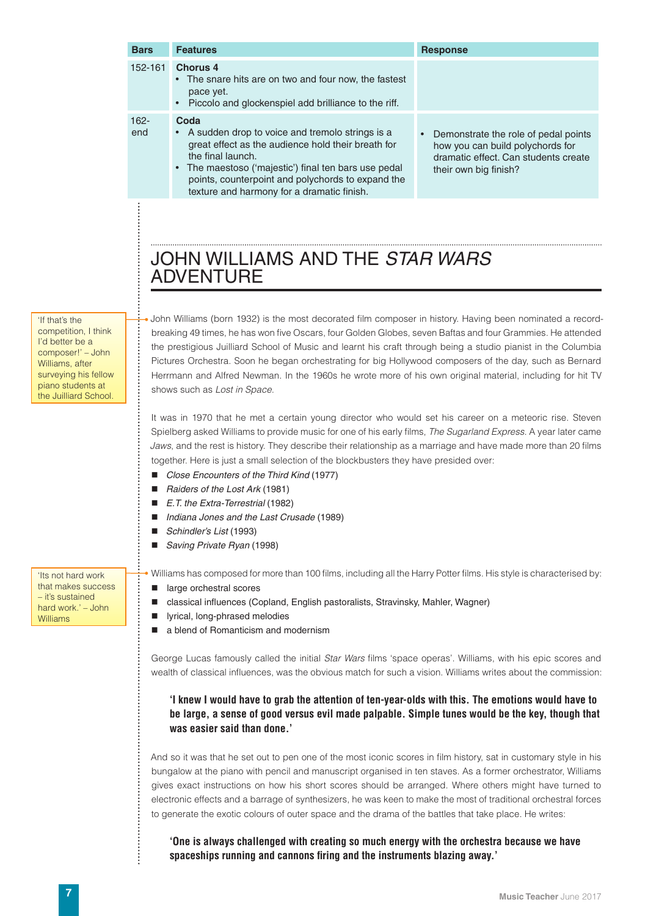| <b>Bars</b>                                                                                                                                           | <b>Features</b>                                                                                                                                                                                                                                                                                                                                                                                                                                                                                                                                                                                  | <b>Response</b>                                                                                                                           |  |  |  |
|-------------------------------------------------------------------------------------------------------------------------------------------------------|--------------------------------------------------------------------------------------------------------------------------------------------------------------------------------------------------------------------------------------------------------------------------------------------------------------------------------------------------------------------------------------------------------------------------------------------------------------------------------------------------------------------------------------------------------------------------------------------------|-------------------------------------------------------------------------------------------------------------------------------------------|--|--|--|
| $152 - 161$                                                                                                                                           | <b>Chorus 4</b><br>• The snare hits are on two and four now, the fastest<br>pace yet.<br>Piccolo and glockenspiel add brilliance to the riff.                                                                                                                                                                                                                                                                                                                                                                                                                                                    |                                                                                                                                           |  |  |  |
| $162 -$<br>end                                                                                                                                        | Coda<br>• A sudden drop to voice and tremolo strings is a<br>great effect as the audience hold their breath for<br>the final launch.<br>The maestoso ('majestic') final ten bars use pedal<br>points, counterpoint and polychords to expand the<br>texture and harmony for a dramatic finish.                                                                                                                                                                                                                                                                                                    | Demonstrate the role of pedal points<br>how you can build polychords for<br>dramatic effect. Can students create<br>their own big finish? |  |  |  |
|                                                                                                                                                       | JOHN WILLIAMS AND THE STAR WARS<br><b>ADVENTURE</b>                                                                                                                                                                                                                                                                                                                                                                                                                                                                                                                                              |                                                                                                                                           |  |  |  |
| competition, I think<br>I'd better be a<br>composer!' - John<br>Williams, after<br>surveying his fellow<br>piano students at<br>the Juilliard School. | John Williams (born 1932) is the most decorated film composer in history. Having been nominated a record-<br>breaking 49 times, he has won five Oscars, four Golden Globes, seven Baftas and four Grammies. He attended<br>the prestigious Juilliard School of Music and learnt his craft through being a studio pianist in the Columbia<br>Pictures Orchestra. Soon he began orchestrating for big Hollywood composers of the day, such as Bernard<br>Herrmann and Alfred Newman. In the 1960s he wrote more of his own original material, including for hit TV<br>shows such as Lost in Space. |                                                                                                                                           |  |  |  |
|                                                                                                                                                       | It was in 1970 that he met a certain young director who would set his career on a meteoric rise. Steven<br>Spielberg asked Williams to provide music for one of his early films, The Sugarland Express. A year later came<br>Jaws, and the rest is history. They describe their relationship as a marriage and have made more than 20 films<br>together. Here is just a small selection of the blockbusters they have presided over:                                                                                                                                                             |                                                                                                                                           |  |  |  |

- *Close Encounters of the Third Kind* (1977)
- *Raiders of the Lost Ark* (1981)
- *E.T. the Extra-Terrestrial* (1982)
- *Indiana Jones and the Last Crusade* (1989)
- *Schindler's List* (1993)
	- *Saving Private Ryan* (1998)

'Its not hard work that makes success – it's sustained hard work.' – John Williams

• Williams has composed for more than 100 films, including all the Harry Potter films. His style is characterised by:

- large orchestral scores
- classical influences (Copland, English pastoralists, Stravinsky, Mahler, Wagner)
- lyrical, long-phrased melodies
- **a** a blend of Romanticism and modernism

George Lucas famously called the initial *Star Wars* films 'space operas'. Williams, with his epic scores and wealth of classical influences, was the obvious match for such a vision. Williams writes about the commission:

**'I knew I would have to grab the attention of ten-year-olds with this. The emotions would have to be large, a sense of good versus evil made palpable. Simple tunes would be the key, though that was easier said than done.'**

And so it was that he set out to pen one of the most iconic scores in film history, sat in customary style in his bungalow at the piano with pencil and manuscript organised in ten staves. As a former orchestrator, Williams gives exact instructions on how his short scores should be arranged. Where others might have turned to electronic effects and a barrage of synthesizers, he was keen to make the most of traditional orchestral forces to generate the exotic colours of outer space and the drama of the battles that take place. He writes:

**'One is always challenged with creating so much energy with the orchestra because we have spaceships running and cannons firing and the instruments blazing away.'**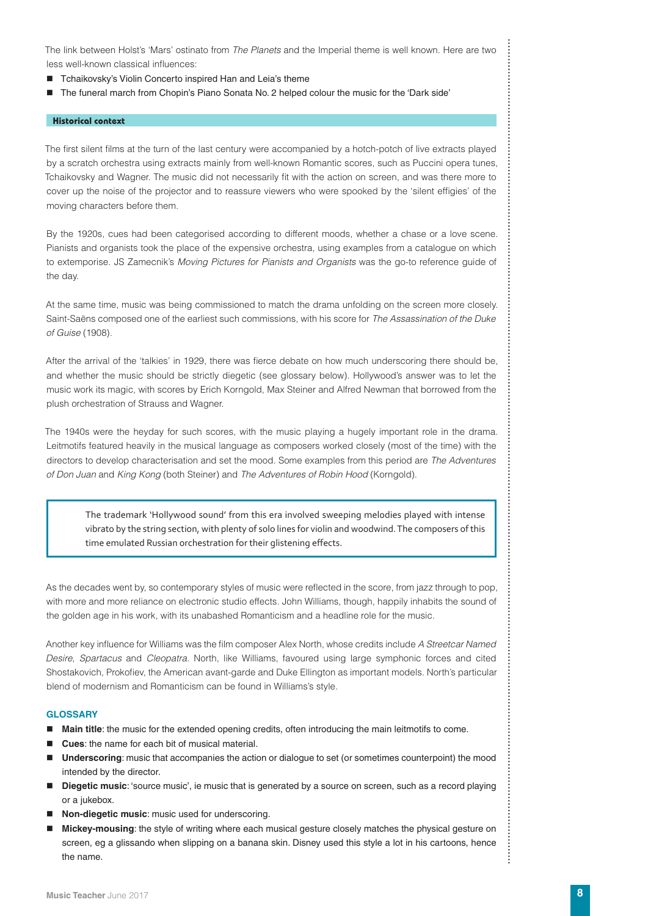The link between Holst's 'Mars' ostinato from *The Planets* and the Imperial theme is well known. Here are two less well-known classical influences:

- Tchaikovsky's Violin Concerto inspired Han and Leia's theme
- The funeral march from Chopin's Piano Sonata No. 2 helped colour the music for the 'Dark side'

#### **Historical context**

The first silent films at the turn of the last century were accompanied by a hotch-potch of live extracts played by a scratch orchestra using extracts mainly from well-known Romantic scores, such as Puccini opera tunes, Tchaikovsky and Wagner. The music did not necessarily fit with the action on screen, and was there more to cover up the noise of the projector and to reassure viewers who were spooked by the 'silent effigies' of the moving characters before them.

By the 1920s, cues had been categorised according to different moods, whether a chase or a love scene. Pianists and organists took the place of the expensive orchestra, using examples from a catalogue on which to extemporise. JS Zamecnik's *Moving Pictures for Pianists and Organists* was the go-to reference guide of the day.

At the same time, music was being commissioned to match the drama unfolding on the screen more closely. Saint-Saëns composed one of the earliest such commissions, with his score for *The Assassination of the Duke of Guise* (1908).

After the arrival of the 'talkies' in 1929, there was fierce debate on how much underscoring there should be, and whether the music should be strictly diegetic (see glossary below). Hollywood's answer was to let the music work its magic, with scores by Erich Korngold, Max Steiner and Alfred Newman that borrowed from the plush orchestration of Strauss and Wagner.

The 1940s were the heyday for such scores, with the music playing a hugely important role in the drama. Leitmotifs featured heavily in the musical language as composers worked closely (most of the time) with the directors to develop characterisation and set the mood. Some examples from this period are *The Adventures of Don Juan* and *King Kong* (both Steiner) and *The Adventures of Robin Hood* (Korngold).

The trademark 'Hollywood sound' from this era involved sweeping melodies played with intense vibrato by the string section, with plenty of solo lines for violin and woodwind. The composers of this time emulated Russian orchestration for their glistening effects.

As the decades went by, so contemporary styles of music were reflected in the score, from jazz through to pop, with more and more reliance on electronic studio effects. John Williams, though, happily inhabits the sound of the golden age in his work, with its unabashed Romanticism and a headline role for the music.

Another key influence for Williams was the film composer Alex North, whose credits include *A Streetcar Named Desire*, *Spartacus* and *Cleopatra*. North, like Williams, favoured using large symphonic forces and cited Shostakovich, Prokofiev, the American avant-garde and Duke Ellington as important models. North's particular blend of modernism and Romanticism can be found in Williams's style.

#### **GLOSSARY**

- **Main title**: the music for the extended opening credits, often introducing the main leitmotifs to come.
- **Cues**: the name for each bit of musical material.
- **Underscoring**: music that accompanies the action or dialogue to set (or sometimes counterpoint) the mood intended by the director.
- **Diegetic music**: 'source music', ie music that is generated by a source on screen, such as a record playing or a jukebox.
- **Non-diegetic music**: music used for underscoring.
- **Mickey-mousing**: the style of writing where each musical gesture closely matches the physical gesture on screen, eg a glissando when slipping on a banana skin. Disney used this style a lot in his cartoons, hence the name.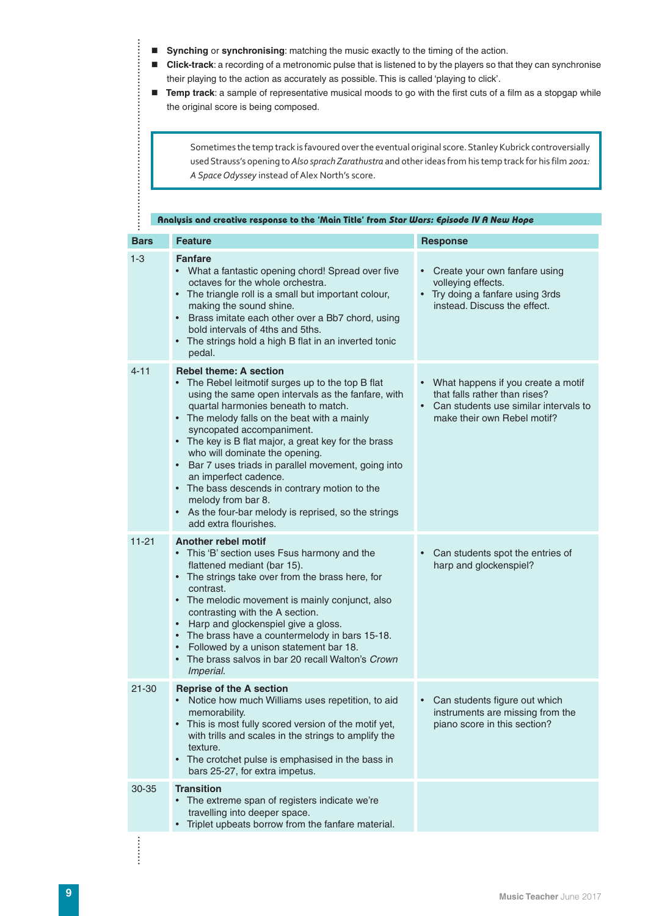**Synching** or **synchronising**: matching the music exactly to the timing of the action.

- **Click-track**: a recording of a metronomic pulse that is listened to by the players so that they can synchronise their playing to the action as accurately as possible. This is called 'playing to click'.
- **Temp track**: a sample of representative musical moods to go with the first cuts of a film as a stopgap while the original score is being composed.

Sometimes the temp track is favoured over the eventual original score. Stanley Kubrick controversially used Strauss's opening to *Also sprach Zarathustra* and other ideas from his temp track for his film *2001: A Space Odyssey* instead of Alex North's score.

|             | Analysis and creative response to the 'Main Title' from Star Wars: Episode IV A New Hope                                                                                                                                                                                                                                                                                                                                                                                                                                                                                                                                       |                                                                                                                                               |  |  |  |  |
|-------------|--------------------------------------------------------------------------------------------------------------------------------------------------------------------------------------------------------------------------------------------------------------------------------------------------------------------------------------------------------------------------------------------------------------------------------------------------------------------------------------------------------------------------------------------------------------------------------------------------------------------------------|-----------------------------------------------------------------------------------------------------------------------------------------------|--|--|--|--|
| <b>Bars</b> | <b>Feature</b>                                                                                                                                                                                                                                                                                                                                                                                                                                                                                                                                                                                                                 | <b>Response</b>                                                                                                                               |  |  |  |  |
| $1 - 3$     | <b>Fanfare</b><br>$\bullet$<br>What a fantastic opening chord! Spread over five<br>octaves for the whole orchestra.<br>• The triangle roll is a small but important colour,<br>making the sound shine.<br>Brass imitate each other over a Bb7 chord, using<br>$\bullet$<br>bold intervals of 4ths and 5ths.<br>• The strings hold a high B flat in an inverted tonic<br>pedal.                                                                                                                                                                                                                                                 | Create your own fanfare using<br>volleying effects.<br>• Try doing a fanfare using 3rds<br>instead. Discuss the effect.                       |  |  |  |  |
| $4 - 11$    | <b>Rebel theme: A section</b><br>The Rebel leitmotif surges up to the top B flat<br>using the same open intervals as the fanfare, with<br>quartal harmonies beneath to match.<br>• The melody falls on the beat with a mainly<br>syncopated accompaniment.<br>• The key is B flat major, a great key for the brass<br>who will dominate the opening.<br>Bar 7 uses triads in parallel movement, going into<br>$\bullet$<br>an imperfect cadence.<br>The bass descends in contrary motion to the<br>$\bullet$<br>melody from bar 8.<br>As the four-bar melody is reprised, so the strings<br>$\bullet$<br>add extra flourishes. | • What happens if you create a motif<br>that falls rather than rises?<br>Can students use similar intervals to<br>make their own Rebel motif? |  |  |  |  |
| $11 - 21$   | <b>Another rebel motif</b><br>This 'B' section uses Fsus harmony and the<br>$\bullet$<br>flattened mediant (bar 15).<br>The strings take over from the brass here, for<br>$\bullet$<br>contrast.<br>• The melodic movement is mainly conjunct, also<br>contrasting with the A section.<br>Harp and glockenspiel give a gloss.<br>$\bullet$<br>The brass have a countermelody in bars 15-18.<br>$\bullet$<br>Followed by a unison statement bar 18.<br>$\bullet$<br>The brass salvos in bar 20 recall Walton's Crown<br>Imperial.                                                                                               | Can students spot the entries of<br>$\bullet$<br>harp and glockenspiel?                                                                       |  |  |  |  |
| $21 - 30$   | <b>Reprise of the A section</b><br>Notice how much Williams uses repetition, to aid<br>memorability.<br>This is most fully scored version of the motif yet,<br>$\bullet$<br>with trills and scales in the strings to amplify the<br>texture.<br>The crotchet pulse is emphasised in the bass in<br>$\bullet$<br>bars 25-27, for extra impetus.                                                                                                                                                                                                                                                                                 | Can students figure out which<br>instruments are missing from the<br>piano score in this section?                                             |  |  |  |  |
| 30-35       | <b>Transition</b><br>The extreme span of registers indicate we're<br>travelling into deeper space.<br>Triplet upbeats borrow from the fanfare material.<br>$\bullet$                                                                                                                                                                                                                                                                                                                                                                                                                                                           |                                                                                                                                               |  |  |  |  |

 $\frac{1}{2}$